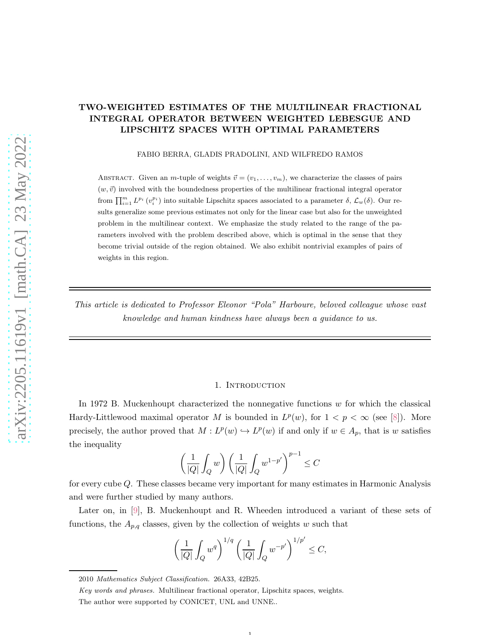# TWO-WEIGHTED ESTIMATES OF THE MULTILINEAR FRACTIONAL INTEGRAL OPERATOR BETWEEN WEIGHTED LEBESGUE AND LIPSCHITZ SPACES WITH OPTIMAL PARAMETERS

FABIO BERRA, GLADIS PRADOLINI, AND WILFREDO RAMOS

ABSTRACT. Given an m-tuple of weights  $\vec{v} = (v_1, \ldots, v_m)$ , we characterize the classes of pairs  $(w, \vec{v})$  involved with the boundedness properties of the multilinear fractional integral operator from  $\prod_{i=1}^m L^{p_i}(v_i^{p_i})$  into suitable Lipschitz spaces associated to a parameter  $\delta$ ,  $\mathcal{L}_w(\delta)$ . Our results generalize some previous estimates not only for the linear case but also for the unweighted problem in the multilinear context. We emphasize the study related to the range of the parameters involved with the problem described above, which is optimal in the sense that they become trivial outside of the region obtained. We also exhibit nontrivial examples of pairs of weights in this region.

*This article is dedicated to Professor Eleonor "Pola" Harboure, beloved colleague whose vast knowledge and human kindness have always been a guidance to us.*

### 1. INTRODUCTION

In 1972 B. Muckenhoupt characterized the nonnegative functions  $w$  for which the classical Hardy-Littlewood maximal operator M is bounded in  $L^p(w)$ , for  $1 < p < \infty$  (see [\[8\]](#page-18-0)). More precisely, the author proved that  $M: L^p(w) \hookrightarrow L^p(w)$  if and only if  $w \in A_p$ , that is w satisfies the inequality

$$
\left(\frac{1}{|Q|}\int_Q w\right)\left(\frac{1}{|Q|}\int_Q w^{1-p'}\right)^{p-1}\leq C
$$

for every cube Q. These classes became very important for many estimates in Harmonic Analysis and were further studied by many authors.

Later on, in [\[9\]](#page-18-1), B. Muckenhoupt and R. Wheeden introduced a variant of these sets of functions, the  $A_{p,q}$  classes, given by the collection of weights w such that

$$
\left(\frac{1}{|Q|}\int_Q w^q\right)^{1/q} \left(\frac{1}{|Q|}\int_Q w^{-p'}\right)^{1/p'} \leq C,
$$

1

<sup>2010</sup> Mathematics Subject Classification. 26A33, 42B25.

Key words and phrases. Multilinear fractional operator, Lipschitz spaces, weights.

The author were supported by CONICET, UNL and UNNE..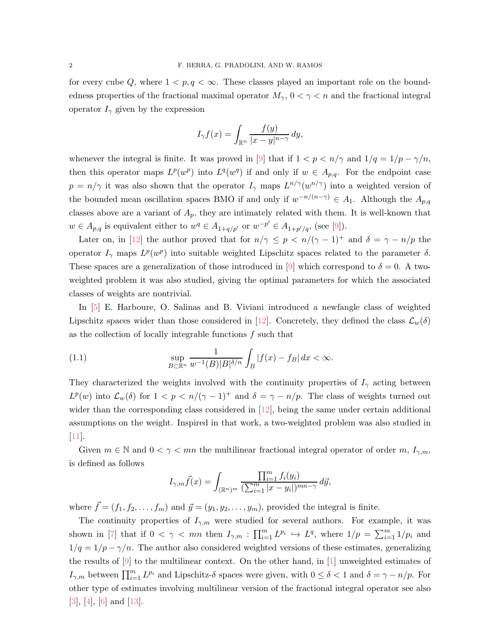for every cube Q, where  $1 < p, q < \infty$ . These classes played an important role on the boundedness properties of the fractional maximal operator  $M_{\gamma}$ ,  $0 < \gamma < n$  and the fractional integral operator  $I_{\gamma}$  given by the expression

$$
I_{\gamma}f(x) = \int_{\mathbb{R}^n} \frac{f(y)}{|x - y|^{n - \gamma}} dy,
$$

whenever the integral is finite. It was proved in [\[9\]](#page-18-1) that if  $1 < p < n/\gamma$  and  $1/q = 1/p - \gamma/n$ , then this operator maps  $L^p(w^p)$  into  $L^q(w^q)$  if and only if  $w \in A_{p,q}$ . For the endpoint case  $p = n/\gamma$  it was also shown that the operator  $I_{\gamma}$  maps  $L^{n/\gamma}(w^{n/\gamma})$  into a weighted version of the bounded mean oscillation spaces BMO if and only if  $w^{-n/(n-\gamma)} \in A_1$ . Although the  $A_{p,q}$ classes above are a variant of  $A_p$ , they are intimately related with them. It is well-known that  $w \in A_{p,q}$  is equivalent either to  $w^q \in A_{1+q/p'}$  or  $w^{-p'} \in A_{1+p'/q}$ , (see [\[9\]](#page-18-1)).

Later on, in [\[12\]](#page-18-2) the author proved that for  $n/\gamma \leq p \leq n/(\gamma - 1)^{+}$  and  $\delta = \gamma - n/p$  the operator  $I_{\gamma}$  maps  $L^p(w^p)$  into suitable weighted Lipschitz spaces related to the parameter  $\delta$ . These spaces are a generalization of those introduced in [\[9\]](#page-18-1) which correspond to  $\delta = 0$ . A twoweighted problem it was also studied, giving the optimal parameters for which the associated classes of weights are nontrivial.

In [\[5\]](#page-18-3) E. Harboure, O. Salinas and B. Viviani introduced a newfangle class of weighted Lipschitz spaces wider than those considered in [\[12\]](#page-18-2). Concretely, they defined the class  $\mathcal{L}_w(\delta)$ as the collection of locally integrable functions  $f$  such that

<span id="page-1-0"></span>(1.1) 
$$
\sup_{B \subset \mathbb{R}^n} \frac{1}{w^{-1}(B)|B|^{\delta/n}} \int_B |f(x) - f_B| dx < \infty.
$$

They characterized the weights involved with the continuity properties of  $I_{\gamma}$  acting between  $L^p(w)$  into  $\mathcal{L}_w(\delta)$  for  $1 < p < n/(\gamma - 1)^+$  and  $\delta = \gamma - n/p$ . The class of weights turned out wider than the corresponding class considered in [\[12\]](#page-18-2), being the same under certain additional assumptions on the weight. Inspired in that work, a two-weighted problem was also studied in  $[11]$ .

Given  $m \in \mathbb{N}$  and  $0 < \gamma < mn$  the multilinear fractional integral operator of order m,  $I_{\gamma,m}$ , is defined as follows

$$
I_{\gamma,m}\vec{f}(x) = \int_{(\mathbb{R}^n)^m} \frac{\prod_{i=1}^m f_i(y_i)}{(\sum_{i=1}^m |x - y_i|)^{mn-\gamma}} d\vec{y},
$$

where  $\vec{f} = (f_1, f_2, \dots, f_m)$  and  $\vec{y} = (y_1, y_2, \dots, y_m)$ , provided the integral is finite.

The continuity properties of  $I_{\gamma,m}$  were studied for several authors. For example, it was shown in [\[7\]](#page-18-5) that if  $0 < \gamma < mn$  then  $I_{\gamma,m} : \prod_{i=1}^m L^{p_i} \hookrightarrow L^q$ , where  $1/p = \sum_{i=1}^m 1/p_i$  and  $1/q = 1/p - \gamma/n$ . The author also considered weighted versions of these estimates, generalizing the results of  $[9]$  to the multilinear context. On the other hand, in  $[1]$  unweighted estimates of  $I_{\gamma,m}$  between  $\prod_{i=1}^m L^{p_i}$  and Lipschitz- $\delta$  spaces were given, with  $0 \leq \delta < 1$  and  $\delta = \gamma - n/p$ . For other type of estimates involving multilinear version of the fractional integral operator see also [\[3\]](#page-18-7), [\[4\]](#page-18-8), [\[6\]](#page-18-9) and [\[13\]](#page-18-10).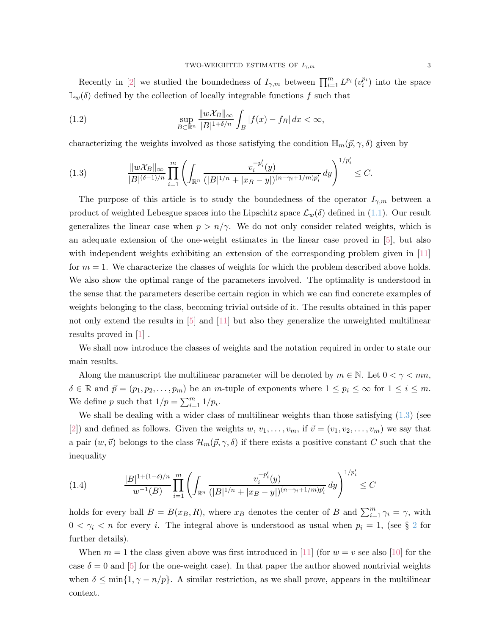Recently in [\[2\]](#page-18-11) we studied the boundedness of  $I_{\gamma,m}$  between  $\prod_{i=1}^m L^{p_i}(v_i^{p_i})$  into the space  $\mathbb{L}_w(\delta)$  defined by the collection of locally integrable functions f such that

(1.2) 
$$
\sup_{B \subset \mathbb{R}^n} \frac{\|w\mathcal{X}_B\|_{\infty}}{|B|^{1+\delta/n}} \int_B |f(x) - f_B| dx < \infty,
$$

characterizing the weights involved as those satisfying the condition  $\mathbb{H}_m(\vec{p}, \gamma, \delta)$  given by

<span id="page-2-0"></span>(1.3) 
$$
\frac{\|w\mathcal{X}_B\|_{\infty}}{|B|^{(\delta-1)/n}} \prod_{i=1}^m \left( \int_{\mathbb{R}^n} \frac{v_i^{-p_i'}(y)}{(|B|^{1/n} + |x_B - y|)^{(n-\gamma_i+1/m)p_i'}} dy \right)^{1/p_i'} \leq C.
$$

The purpose of this article is to study the boundedness of the operator  $I_{\gamma,m}$  between a product of weighted Lebesgue spaces into the Lipschitz space  $\mathcal{L}_w(\delta)$  defined in [\(1.1\)](#page-1-0). Our result generalizes the linear case when  $p > n/\gamma$ . We do not only consider related weights, which is an adequate extension of the one-weight estimates in the linear case proved in [\[5\]](#page-18-3), but also with independent weights exhibiting an extension of the corresponding problem given in [\[11\]](#page-18-4) for  $m = 1$ . We characterize the classes of weights for which the problem described above holds. We also show the optimal range of the parameters involved. The optimality is understood in the sense that the parameters describe certain region in which we can find concrete examples of weights belonging to the class, becoming trivial outside of it. The results obtained in this paper not only extend the results in [\[5\]](#page-18-3) and [\[11\]](#page-18-4) but also they generalize the unweighted multilinear results proved in [\[1\]](#page-18-6) .

We shall now introduce the classes of weights and the notation required in order to state our main results.

Along the manuscript the multilinear parameter will be denoted by  $m \in \mathbb{N}$ . Let  $0 < \gamma < mn$ ,  $\delta \in \mathbb{R}$  and  $\vec{p} = (p_1, p_2, \dots, p_m)$  be an m-tuple of exponents where  $1 \leq p_i \leq \infty$  for  $1 \leq i \leq m$ . We define p such that  $1/p = \sum_{i=1}^{m} 1/p_i$ .

We shall be dealing with a wider class of multilinear weights than those satisfying  $(1.3)$  (see [\[2\]](#page-18-11)) and defined as follows. Given the weights  $w, v_1, \ldots, v_m$ , if  $\vec{v} = (v_1, v_2, \ldots, v_m)$  we say that a pair  $(w, \vec{v})$  belongs to the class  $\mathcal{H}_m(\vec{p}, \gamma, \delta)$  if there exists a positive constant C such that the inequality

(1.4) 
$$
\frac{|B|^{1+(1-\delta)/n}}{w^{-1}(B)} \prod_{i=1}^m \left( \int_{\mathbb{R}^n} \frac{v_i^{-p_i'}(y)}{(|B|^{1/n} + |x_B - y|)^{(n-\gamma_i+1/m)p_i'}} dy \right)^{1/p_i'} \leq C
$$

holds for every ball  $B = B(x_B, R)$ , where  $x_B$  denotes the center of B and  $\sum_{i=1}^{m} \gamma_i = \gamma$ , with  $0 < \gamma_i < n$  for every *i*. The integral above is understood as usual when  $p_i = 1$ , (see § [2](#page-4-0) for further details).

When  $m = 1$  the class given above was first introduced in [\[11\]](#page-18-4) (for  $w = v$  see also [\[10\]](#page-18-12) for the case  $\delta = 0$  and [\[5\]](#page-18-3) for the one-weight case). In that paper the author showed nontrivial weights when  $\delta \leq \min\{1, \gamma - n/p\}$ . A similar restriction, as we shall prove, appears in the multilinear context.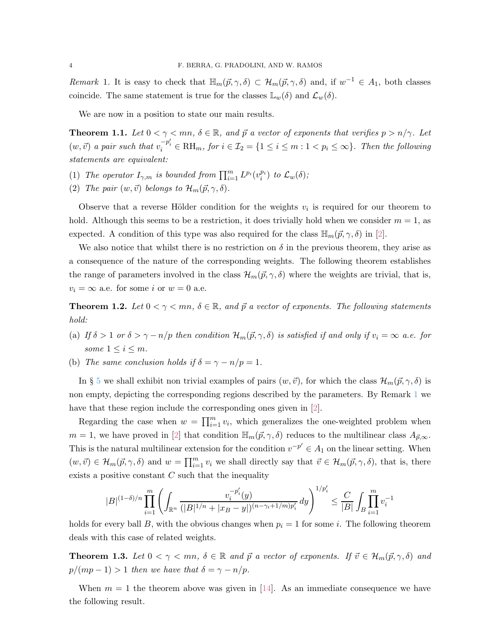<span id="page-3-0"></span>*Remark* 1. It is easy to check that  $\mathbb{H}_m(p, \gamma, \delta) \subset \mathcal{H}_m(p, \gamma, \delta)$  and, if  $w^{-1} \in A_1$ , both classes coincide. The same statement is true for the classes  $\mathbb{L}_w(\delta)$  and  $\mathcal{L}_w(\delta)$ .

We are now in a position to state our main results.

<span id="page-3-1"></span>**Theorem 1.1.** Let  $0 < \gamma < mn$ ,  $\delta \in \mathbb{R}$ , and  $\vec{p}$  a vector of exponents that verifies  $p > n/\gamma$ . Let  $(w, \vec{v})$  *a pair such that*  $v_i^{-p_i'} \in \text{RH}_m$ , for  $i \in \mathcal{I}_2 = \{1 \leq i \leq m : 1 < p_i \leq \infty\}$ . Then the following *statements are equivalent:*

- <span id="page-3-3"></span><span id="page-3-2"></span>(1) *The operator*  $I_{\gamma,m}$  *is bounded from*  $\prod_{i=1}^{m} L^{p_i}(v_i^{p_i})$  *to*  $\mathcal{L}_w(\delta)$ ;
- (2) *The pair*  $(w, \vec{v})$  *belongs to*  $\mathcal{H}_m(\vec{p}, \gamma, \delta)$ *.*

Observe that a reverse Hölder condition for the weights  $v_i$  is required for our theorem to hold. Although this seems to be a restriction, it does trivially hold when we consider  $m = 1$ , as expected. A condition of this type was also required for the class  $\mathbb{H}_m(p, \gamma, \delta)$  in [\[2\]](#page-18-11).

We also notice that whilst there is no restriction on  $\delta$  in the previous theorem, they arise as a consequence of the nature of the corresponding weights. The following theorem establishes the range of parameters involved in the class  $\mathcal{H}_m(\vec{p}, \gamma, \delta)$  where the weights are trivial, that is,  $v_i = \infty$  a.e. for some i or  $w = 0$  a.e.

<span id="page-3-5"></span><span id="page-3-4"></span>**Theorem 1.2.** Let  $0 < \gamma < mn$ ,  $\delta \in \mathbb{R}$ , and  $\vec{p}$  a vector of exponents. The following statements *hold:*

- <span id="page-3-6"></span>(a) *If*  $\delta > 1$  *or*  $\delta > \gamma - n/p$  *then condition*  $\mathcal{H}_m(\vec{p}, \gamma, \delta)$  *is satisfied if and only if*  $v_i = \infty$  *a.e. for some*  $1 \leq i \leq m$ *.*
- (b) *The same conclusion holds if*  $\delta = \gamma n/p = 1$ *.*

In § [5](#page-12-0) we shall exhibit non trivial examples of pairs  $(w, \vec{v})$ , for which the class  $\mathcal{H}_m(\vec{p}, \gamma, \delta)$  is non empty, depicting the corresponding regions described by the parameters. By Remark [1](#page-3-0) we have that these region include the corresponding ones given in [\[2\]](#page-18-11).

Regarding the case when  $w = \prod_{i=1}^{m} v_i$ , which generalizes the one-weighted problem when  $m = 1$ , we have proved in [\[2\]](#page-18-11) that condition  $\mathbb{H}_m(p, \gamma, \delta)$  reduces to the multilinear class  $A_{\vec{p}, \infty}$ . This is the natural multilinear extension for the condition  $v^{-p'} \in A_1$  on the linear setting. When  $(w, \vec{v}) \in \mathcal{H}_m(\vec{p}, \gamma, \delta)$  and  $w = \prod_{i=1}^m v_i$  we shall directly say that  $\vec{v} \in \mathcal{H}_m(\vec{p}, \gamma, \delta)$ , that is, there exists a positive constant  $C$  such that the inequality

$$
|B|^{(1-\delta)/n} \prod_{i=1}^m \left( \int_{\mathbb{R}^n} \frac{v_i^{-p_i'}(y)}{(|B|^{1/n} + |x_B-y|)^{(n-\gamma_i+1/m)p_i'}}\,dy \right)^{1/p_i'} \leq \frac{C}{|B|} \int_B \prod_{i=1}^m v_i^{-1}
$$

holds for every ball B, with the obvious changes when  $p_i = 1$  for some i. The following theorem deals with this case of related weights.

<span id="page-3-7"></span>**Theorem 1.3.** Let  $0 < \gamma < mn$ ,  $\delta \in \mathbb{R}$  and  $\vec{p}$  a vector of exponents. If  $\vec{v} \in \mathcal{H}_m(\vec{p}, \gamma, \delta)$  and  $p/(mp-1) > 1$  *then we have that*  $\delta = \gamma - n/p$ *.* 

When  $m = 1$  the theorem above was given in [\[14\]](#page-18-13). As an immediate consequence we have the following result.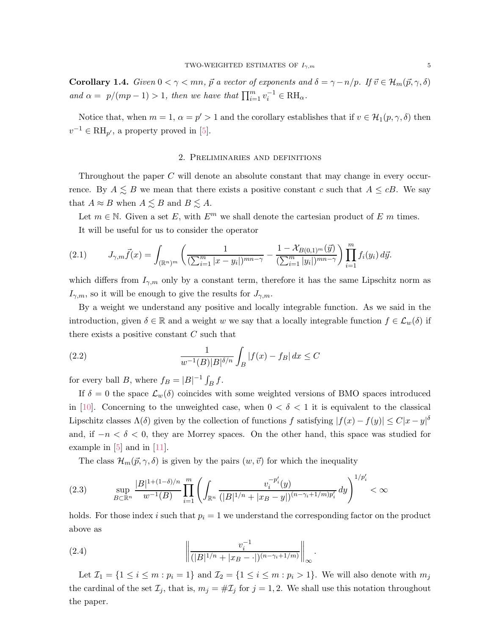**Corollary 1.4.** *Given*  $0 < \gamma < mn$ ,  $\vec{p}$  *a vector of exponents and*  $\delta = \gamma - n/p$ *. If*  $\vec{v} \in H_m(\vec{p}, \gamma, \delta)$ *and*  $\alpha = p/(mp-1) > 1$ *, then we have that*  $\prod_{i=1}^{m} v_i^{-1} \in \text{RH}_{\alpha}$ *.* 

<span id="page-4-0"></span>Notice that, when  $m = 1$ ,  $\alpha = p' > 1$  and the corollary establishes that if  $v \in H_1(p, \gamma, \delta)$  then  $v^{-1} \in \text{RH}_{p'}$ , a property proved in [\[5\]](#page-18-3).

## 2. Preliminaries and definitions

Throughout the paper C will denote an absolute constant that may change in every occurrence. By  $A \leq B$  we mean that there exists a positive constant c such that  $A \leq cB$ . We say that  $A \approx B$  when  $A \lesssim B$  and  $B \lesssim A$ .

Let  $m \in \mathbb{N}$ . Given a set E, with  $E^m$  we shall denote the cartesian product of E m times. It will be useful for us to consider the operator

<span id="page-4-2"></span>
$$
(2.1) \tJ_{\gamma,m}\vec{f}(x) = \int_{(\mathbb{R}^n)^m} \left( \frac{1}{(\sum_{i=1}^m |x-y_i|)^{mn-\gamma}} - \frac{1-\mathcal{X}_{B(0,1)^m}(\vec{y})}{(\sum_{i=1}^m |y_i|)^{mn-\gamma}} \right) \prod_{i=1}^m f_i(y_i) d\vec{y}.
$$

which differs from  $I_{\gamma,m}$  only by a constant term, therefore it has the same Lipschitz norm as  $I_{\gamma,m}$ , so it will be enough to give the results for  $J_{\gamma,m}$ .

By a weight we understand any positive and locally integrable function. As we said in the introduction, given  $\delta \in \mathbb{R}$  and a weight w we say that a locally integrable function  $f \in \mathcal{L}_w(\delta)$  if there exists a positive constant  $C$  such that

(2.2) 
$$
\frac{1}{w^{-1}(B)|B|^{\delta/n}} \int_B |f(x) - f_B| dx \le C
$$

for every ball B, where  $f_B = |B|^{-1} \int_B f$ .

If  $\delta = 0$  the space  $\mathcal{L}_w(\delta)$  coincides with some weighted versions of BMO spaces introduced in [\[10\]](#page-18-12). Concerning to the unweighted case, when  $0 < \delta < 1$  it is equivalent to the classical Lipschitz classes  $\Lambda(\delta)$  given by the collection of functions f satisfying  $|f(x) - f(y)| \le C|x - y|^{\delta}$ and, if  $-n < \delta < 0$ , they are Morrey spaces. On the other hand, this space was studied for example in  $[5]$  and in  $[11]$ .

<span id="page-4-1"></span>The class  $\mathcal{H}_m(\vec{p}, \gamma, \delta)$  is given by the pairs  $(w, \vec{v})$  for which the inequality

$$
(2.3) \qquad \sup_{B \subset \mathbb{R}^n} \frac{|B|^{1+(1-\delta)/n}}{w^{-1}(B)} \prod_{i=1}^m \left( \int_{\mathbb{R}^n} \frac{v_i^{-p_i'}(y)}{(|B|^{1/n} + |x_B - y|)^{(n-\gamma_i+1/m)p_i'}} dy \right)^{1/p_i'} < \infty
$$

holds. For those index i such that  $p_i = 1$  we understand the corresponding factor on the product above as

(2.4) 
$$
\left\| \frac{v_i^{-1}}{(|B|^{1/n} + |x_B - \cdot|)^{(n - \gamma_i + 1/m)}} \right\|_{\infty}.
$$

Let  $\mathcal{I}_1 = \{1 \leq i \leq m : p_i = 1\}$  and  $\mathcal{I}_2 = \{1 \leq i \leq m : p_i > 1\}$ . We will also denote with  $m_j$ the cardinal of the set  $\mathcal{I}_j$ , that is,  $m_j = #\mathcal{I}_j$  for  $j = 1, 2$ . We shall use this notation throughout the paper.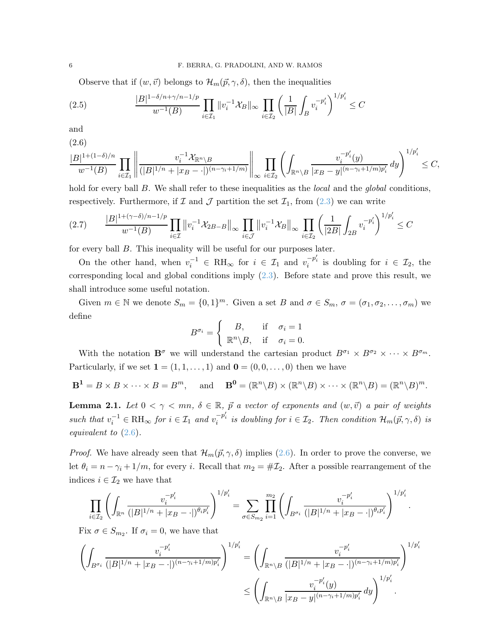<span id="page-5-2"></span>Observe that if  $(w, \vec{v})$  belongs to  $\mathcal{H}_m(\vec{p}, \gamma, \delta)$ , then the inequalities

(2.5) 
$$
\frac{|B|^{1-\delta/n+\gamma/n-1/p}}{w^{-1}(B)} \prod_{i \in \mathcal{I}_1} ||v_i^{-1} \mathcal{X}_B||_{\infty} \prod_{i \in \mathcal{I}_2} \left(\frac{1}{|B|} \int_B v_i^{-p_i'}\right)^{1/p_i'} \leq C
$$

and

<span id="page-5-0"></span>
$$
\frac{|B|^{1+(1-\delta)/n}}{w^{-1}(B)} \prod_{i \in \mathcal{I}_1} \left\| \frac{v_i^{-1} \mathcal{X}_{\mathbb{R}^n \backslash B}}{(|B|^{1/n} + |x_B - \cdot|)^{(n-\gamma_i+1/m)}} \right\|_{\infty} \prod_{i \in \mathcal{I}_2} \left( \int_{\mathbb{R}^n \backslash B} \frac{v_i^{-p_i'}(y)}{|x_B - y|^{(n-\gamma_i+1/m)p_i'}} \, dy \right)^{1/p_i'} \leq C,
$$

hold for every ball B. We shall refer to these inequalities as the *local* and the *global* conditions, respectively. Furthermore, if  $\mathcal I$  and  $\mathcal J$  partition the set  $\mathcal I_1$ , from  $(2.3)$  we can write

<span id="page-5-3"></span>
$$
(2.7) \qquad \frac{|B|^{1+(\gamma-\delta)/n-1/p}}{w^{-1}(B)}\prod_{i\in\mathcal{I}}\left\|v_{i}^{-1}\mathcal{X}_{2B-B}\right\|_{\infty}\prod_{i\in\mathcal{J}}\left\|v_{i}^{-1}\mathcal{X}_{B}\right\|_{\infty}\prod_{i\in\mathcal{I}_{2}}\left(\frac{1}{|2B|}\int_{2B}v_{i}^{-p'_{i}}\right)^{1/p'_{i}}\leq C
$$

for every ball B. This inequality will be useful for our purposes later.

On the other hand, when  $v_i^{-1} \in RH_\infty$  for  $i \in \mathcal{I}_1$  and  $v_i^{-p_i'}$  is doubling for  $i \in \mathcal{I}_2$ , the corresponding local and global conditions imply [\(2.3\)](#page-4-1). Before state and prove this result, we shall introduce some useful notation.

Given  $m \in \mathbb{N}$  we denote  $S_m = \{0,1\}^m$ . Given a set B and  $\sigma \in S_m$ ,  $\sigma = (\sigma_1, \sigma_2, \dots, \sigma_m)$  we define

$$
B^{\sigma_i} = \begin{cases} B, & \text{if } \sigma_i = 1 \\ \mathbb{R}^n \backslash B, & \text{if } \sigma_i = 0. \end{cases}
$$

With the notation  $\mathbf{B}^{\sigma}$  we will understand the cartesian product  $B^{\sigma_1} \times B^{\sigma_2} \times \cdots \times B^{\sigma_m}$ . Particularly, if we set  $\mathbf{1} = (1, 1, \ldots, 1)$  and  $\mathbf{0} = (0, 0, \ldots, 0)$  then we have

$$
\mathbf{B}^1 = B \times B \times \cdots \times B = B^m, \quad \text{and} \quad \mathbf{B}^0 = (\mathbb{R}^n \backslash B) \times (\mathbb{R}^n \backslash B) \times \cdots \times (\mathbb{R}^n \backslash B) = (\mathbb{R}^n \backslash B)^m.
$$

<span id="page-5-1"></span>**Lemma 2.1.** Let  $0 < \gamma < mn$ ,  $\delta \in \mathbb{R}$ ,  $\vec{p}$  *a vector of exponents and*  $(w, \vec{v})$  *a pair of weights*  $such that v_i^{-1} \in \mathrm{RH}_{\infty}$  *for*  $i \in \mathcal{I}_1$  *and*  $v_i^{-p'_i}$  *is doubling for*  $i \in \mathcal{I}_2$ *. Then condition*  $\mathcal{H}_m(\vec{p}, \gamma, \delta)$  *is equivalent to* [\(2.6\)](#page-5-0)*.*

*Proof.* We have already seen that  $\mathcal{H}_m(\vec{p}, \gamma, \delta)$  implies [\(2.6\)](#page-5-0). In order to prove the converse, we let  $\theta_i = n - \gamma_i + 1/m$ , for every i. Recall that  $m_2 = \# \mathcal{I}_2$ . After a possible rearrangement of the indices  $i \in \mathcal{I}_2$  we have that

$$
\prod_{i \in \mathcal{I}_2} \left( \int_{\mathbb{R}^n} \frac{v_i^{-p_i'}}{(|B|^{1/n} + |xB - \cdot|)^{\theta_i p_i'}} \right)^{1/p_i'} = \sum_{\sigma \in S_{m_2}} \prod_{i=1}^{m_2} \left( \int_{B^{\sigma_i}} \frac{v_i^{-p_i'}}{(|B|^{1/n} + |xB - \cdot|)^{\theta_i p_i'}} \right)^{1/p_i'}
$$

.

Fix  $\sigma \in S_{m_2}$ . If  $\sigma_i = 0$ , we have that

$$
\left(\int_{B^{\sigma_i}}\frac{v_i^{-p_i'}}{(|B|^{1/n}+|x_B-\cdot|)^{(n-\gamma_i+1/m)p_i'}}\right)^{1/p_i'}=\left(\int_{\mathbb{R}^n\backslash B}\frac{v_i^{-p_i'}}{(|B|^{1/n}+|x_B-\cdot|)^{(n-\gamma_i+1/m)p_i'}}\right)^{1/p_i'}\\ \leq\left(\int_{\mathbb{R}^n\backslash B}\frac{v_i^{-p_i'}(y)}{|x_B-y|^{(n-\gamma_i+1/m)p_i'}}\,dy\right)^{1/p_i'}.
$$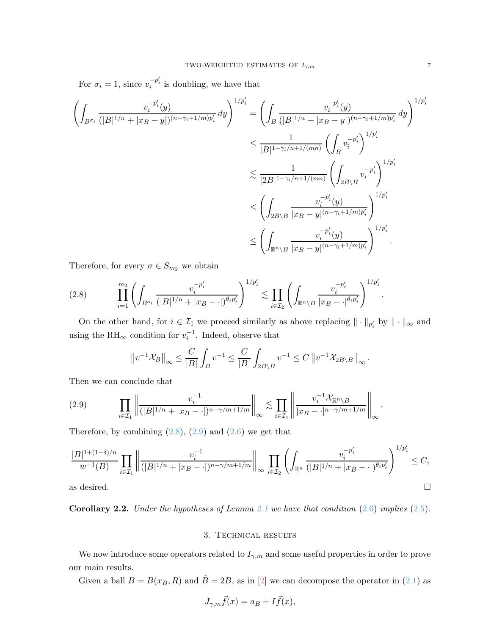For  $\sigma_i = 1$ , since  $v_i^{-p_i'}$  is doubling, we have that

$$
\left(\int_{B^{\sigma_i}} \frac{v_i^{-p_i'}(y)}{(|B|^{1/n} + |x_B - y|)^{(n - \gamma_i + 1/m)p_i'}} dy\right)^{1/p_i'} = \left(\int_B \frac{v_i^{-p_i'}(y)}{(|B|^{1/n} + |x_B - y|)^{(n - \gamma_i + 1/m)p_i'}} dy\right)^{1/p_i'}
$$
  

$$
\leq \frac{1}{|B|^{1 - \gamma_i/n + 1/(mn)}} \left(\int_B v_i^{-p_i'}\right)^{1/p_i'}
$$
  

$$
\leq \frac{1}{|2B|^{1 - \gamma_i/n + 1/(mn)}} \left(\int_{2B\setminus B} v_i^{-p_i'}\right)^{1/p_i'}
$$
  

$$
\leq \left(\int_{2B\setminus B} \frac{v_i^{-p_i'}(y)}{|x_B - y|^{(n - \gamma_i + 1/m)p_i'}}\right)^{1/p_i'}
$$
  

$$
\leq \left(\int_{\mathbb{R}^n \setminus B} \frac{v_i^{-p_i'}(y)}{|x_B - y|^{(n - \gamma_i + 1/m)p_i'}}\right)^{1/p_i'}
$$

Therefore, for every  $\sigma \in S_{m_2}$  we obtain

<span id="page-6-0"></span>
$$
(2.8) \qquad \prod_{i=1}^{m_2} \left( \int_{B^{\sigma_i}} \frac{v_i^{-p_i'}}{(|B|^{1/n} + |x_B - \cdot|)^{\theta_i p_i'}} \right)^{1/p_i'} \lesssim \prod_{i \in \mathcal{I}_2} \left( \int_{\mathbb{R}^n \setminus B} \frac{v_i^{-p_i'}}{|x_B - \cdot|^{\theta_i p_i'}} \right)^{1/p_i'}
$$

On the other hand, for  $i \in \mathcal{I}_1$  we proceed similarly as above replacing  $\|\cdot\|_{p'_i}$  by  $\|\cdot\|_{\infty}$  and using the  $\mathrm{RH}_{\infty}$  condition for  $v_i^{-1}$ . Indeed, observe that

$$
\left\|v^{-1}\mathcal{X}_B\right\|_{\infty} \le \frac{C}{|B|} \int_B v^{-1} \le \frac{C}{|B|} \int_{2B\setminus B} v^{-1} \le C\left\|v^{-1}\mathcal{X}_{2B\setminus B}\right\|_{\infty}.
$$

Then we can conclude that

<span id="page-6-1"></span>(2.9) 
$$
\prod_{i \in \mathcal{I}_1} \left\| \frac{v_i^{-1}}{(|B|^{1/n} + |x_B - \cdot|)^{n - \gamma/m + 1/m}} \right\|_{\infty} \lesssim \prod_{i \in \mathcal{I}_1} \left\| \frac{v_i^{-1} \mathcal{X}_{\mathbb{R}^n \setminus B}}{v_i^{-1} \mathcal{X}_{\mathbb{R}^n \setminus B}} \right\|_{\infty}.
$$

Therefore, by combining  $(2.8)$ ,  $(2.9)$  and  $(2.6)$  we get that

$$
\frac{|B|^{1+(1-\delta)/n}}{w^{-1}(B)} \prod_{i \in \mathcal{I}_1} \left\| \frac{v_i^{-1}}{(|B|^{1/n} + |x_B - \cdot|)^{n-\gamma/m+1/m}} \right\|_{\infty} \prod_{i \in \mathcal{I}_2} \left( \int_{\mathbb{R}^n} \frac{v_i^{-p_i'}}{(|B|^{1/n} + |x_B - \cdot|)^{\theta_i p_i'}} \right)^{1/p_i'} \leq C,
$$
 as desired.

Corollary 2.2. *Under the hypotheses of Lemma [2.1](#page-5-1) we have that condition* [\(2.6\)](#page-5-0) *implies* [\(2.5\)](#page-5-2)*.*

### 3. Technical results

We now introduce some operators related to  $I_{\gamma,m}$  and some useful properties in order to prove our main results.

Given a ball  $B = B(x_B, R)$  and  $\tilde{B} = 2B$ , as in [\[2\]](#page-18-11) we can decompose the operator in [\(2.1\)](#page-4-2) as

$$
J_{\gamma,m}\vec{f}(x) = a_B + I\vec{f}(x),
$$

.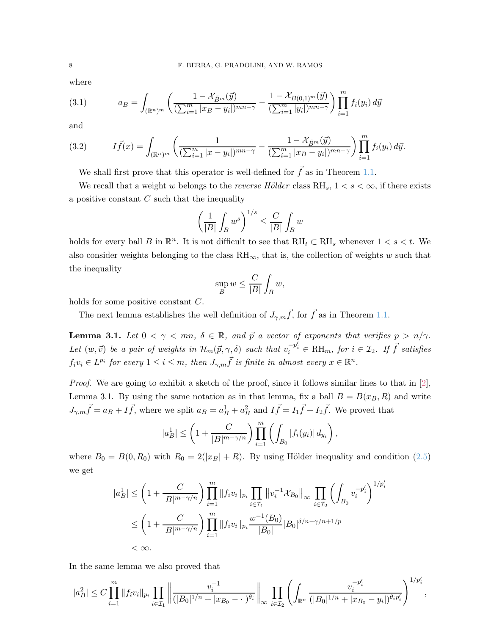where

(3.1) 
$$
a_B = \int_{(\mathbb{R}^n)^m} \left( \frac{1 - \mathcal{X}_{\tilde{B}^m}(\vec{y})}{(\sum_{i=1}^m |x_B - y_i|)^{mn-\gamma}} - \frac{1 - \mathcal{X}_{B(0,1)^m}(\vec{y})}{(\sum_{i=1}^m |y_i|)^{mn-\gamma}} \right) \prod_{i=1}^m f_i(y_i) d\vec{y}
$$

and

(3.2) 
$$
I\vec{f}(x) = \int_{(\mathbb{R}^n)^m} \left( \frac{1}{(\sum_{i=1}^m |x - y_i|)^{mn-\gamma}} - \frac{1 - \mathcal{X}_{\tilde{B}^m}(\vec{y})}{(\sum_{i=1}^m |x_B - y_i|)^{mn-\gamma}} \right) \prod_{i=1}^m f_i(y_i) d\vec{y}.
$$

We shall first prove that this operator is well-defined for  $\vec{f}$  as in Theorem [1.1.](#page-3-1)

We recall that a weight w belongs to the *reverse Hölder* class  $RH_s$ ,  $1 < s < \infty$ , if there exists a positive constant  $C$  such that the inequality

$$
\left(\frac{1}{|B|}\int_B w^s\right)^{1/s} \le \frac{C}{|B|}\int_B w
$$

holds for every ball B in  $\mathbb{R}^n$ . It is not difficult to see that  $RH_t \subset RH_s$  whenever  $1 < s < t$ . We also consider weights belonging to the class  $RH_{\infty}$ , that is, the collection of weights w such that the inequality

$$
\sup_B w \le \frac{C}{|B|} \int_B w,
$$

holds for some positive constant C.

The next lemma establishes the well definition of  $J_{\gamma,m}\vec{f}$ , for  $\vec{f}$  as in Theorem [1.1.](#page-3-1)

<span id="page-7-0"></span>**Lemma 3.1.** Let  $0 < \gamma < mn$ ,  $\delta \in \mathbb{R}$ , and  $\vec{p}$  a vector of exponents that verifies  $p > n/\gamma$ .  $Let (w, \vec{v})$  *be a pair of weights in*  $\mathcal{H}_m(\vec{p}, \gamma, \delta)$  *such that*  $v_i^{-p'_i} \in RH_m$ , *for*  $i \in \mathcal{I}_2$ . If  $\vec{f}$  *satisfies*  $f_i v_i \in L^{p_i}$  for every  $1 \leq i \leq m$ , then  $J_{\gamma,m} \vec{f}$  is finite in almost every  $x \in \mathbb{R}^n$ .

*Proof.* We are going to exhibit a sketch of the proof, since it follows similar lines to that in [\[2\]](#page-18-11), Lemma 3.1. By using the same notation as in that lemma, fix a ball  $B = B(x_B, R)$  and write  $J_{\gamma,m}\vec{f} = a_B + I\vec{f}$ , where we split  $a_B = a_B^1 + a_B^2$  and  $I\vec{f} = I_1\vec{f} + I_2\vec{f}$ . We proved that

$$
|a_B^1| \le \left(1 + \frac{C}{|B|^{m-\gamma/n}}\right) \prod_{i=1}^m \left(\int_{B_0} |f_i(y_i)| \, dy_i\right),
$$

where  $B_0 = B(0, R_0)$  with  $R_0 = 2(|x_B| + R)$ . By using Hölder inequality and condition [\(2.5\)](#page-5-2) we get

$$
|a_B^1| \le \left(1 + \frac{C}{|B|^{m-\gamma/n}}\right) \prod_{i=1}^m \|f_i v_i\|_{p_i} \prod_{i \in \mathcal{I}_1} \left\|v_i^{-1} \mathcal{X}_{B_0}\right\|_{\infty} \prod_{i \in \mathcal{I}_2} \left(\int_{B_0} v_i^{-p_i'}\right)^{1/p_i'}
$$
  

$$
\le \left(1 + \frac{C}{|B|^{m-\gamma/n}}\right) \prod_{i=1}^m \|f_i v_i\|_{p_i} \frac{w^{-1}(B_0)}{|B_0|} |B_0|^{\delta/n-\gamma/n+1/p}
$$
  

$$
< \infty.
$$

In the same lemma we also proved that

$$
|a_B^2|\leq C\prod\limits_{i=1}^{m}\|f_iv_i\|_{p_i}\prod\limits_{i\in\mathcal{I}_1}\bigg\|\frac{v_i^{-1}}{(|B_0|^{1/n}+|x_{B_0}-\cdot|)^{\theta_i}}\bigg\|_{\infty}\prod\limits_{i\in\mathcal{I}_2}\left(\int_{\mathbb{R}^n}\frac{v_i^{-p_i'}}{(|B_0|^{1/n}+|x_{B_0}-y_i|)^{\theta_i p_i'}}\right)^{1/p_i'},
$$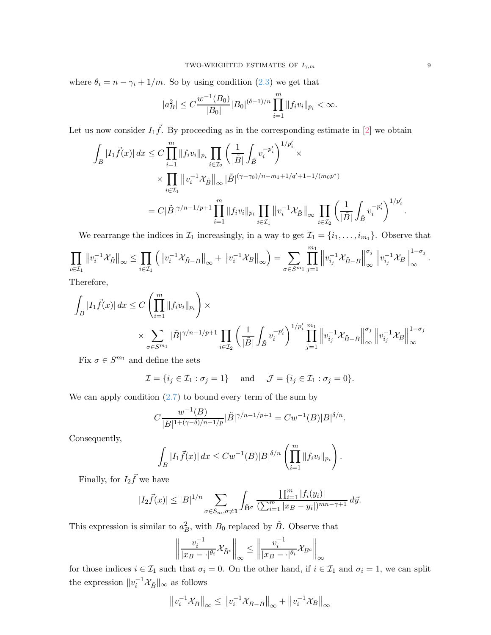where  $\theta_i = n - \gamma_i + 1/m$ . So by using condition [\(2.3\)](#page-4-1) we get that

$$
|a_B^2| \le C \frac{w^{-1}(B_0)}{|B_0|} |B_0|^{(\delta - 1)/n} \prod_{i=1}^m \|f_i v_i\|_{p_i} < \infty.
$$

Let us now consider  $I_1 \vec{f}$ . By proceeding as in the corresponding estimate in [\[2\]](#page-18-11) we obtain

$$
\int_{B} |I_{1}\vec{f}(x)| dx \leq C \prod_{i=1}^{m} ||f_{i}v_{i}||_{p_{i}} \prod_{i \in \mathcal{I}_{2}} \left(\frac{1}{|\tilde{B}|} \int_{\tilde{B}} v_{i}^{-p'_{i}}\right)^{1/p'_{i}} \times
$$
  

$$
\times \prod_{i \in \mathcal{I}_{1}} ||v_{i}^{-1} \mathcal{X}_{\tilde{B}}||_{\infty} |\tilde{B}|^{(\gamma - \gamma_{0})/n - m_{1} + 1/q' + 1 - 1/(m_{0}p^{*})}
$$
  

$$
= C |\tilde{B}|^{\gamma/n - 1/p + 1} \prod_{i=1}^{m} ||f_{i}v_{i}||_{p_{i}} \prod_{i \in \mathcal{I}_{1}} ||v_{i}^{-1} \mathcal{X}_{\tilde{B}}||_{\infty} \prod_{i \in \mathcal{I}_{2}} \left(\frac{1}{|\tilde{B}|} \int_{\tilde{B}} v_{i}^{-p'_{i}}\right)^{1/p'_{i}}.
$$

We rearrange the indices in  $\mathcal{I}_1$  increasingly, in a way to get  $\mathcal{I}_1 = \{i_1, \ldots, i_{m_1}\}.$  Observe that −1 −1 −1  $\setminus$  $\prod^{m_1}$  $\parallel$ −1  $\parallel$  $\sigma_j$  $\parallel$ −1  $\parallel$  $1-\sigma_j$ 

$$
\prod_{i\in\mathcal{I}_{1}}\left\|v_{i}^{-1}\mathcal{X}_{\tilde{B}}\right\|_{\infty}\leq\prod_{i\in\mathcal{I}_{1}}\left(\left\|v_{i}^{-1}\mathcal{X}_{\tilde{B}-B}\right\|_{\infty}+\left\|v_{i}^{-1}\mathcal{X}_{B}\right\|_{\infty}\right)=\sum_{\sigma\in S^{m_{1}}}\prod_{j=1}^{m_{1}}\left\|v_{i_{j}}^{-1}\mathcal{X}_{\tilde{B}-B}\right\|_{\infty}^{\sigma_{j}}\left\|v_{i_{j}}^{-1}\mathcal{X}_{B}\right\|_{\infty}^{1-\sigma_{j}}.
$$

Therefore,

$$
\int_{B} |I_{1}\vec{f}(x)| dx \leq C \left( \prod_{i=1}^{m} \|f_{i}v_{i}\|_{p_{i}} \right) \times \sum_{\sigma \in S^{m_{1}}} |\tilde{B}|^{\gamma/n-1/p+1} \prod_{i \in \mathcal{I}_{2}} \left( \frac{1}{|\tilde{B}|} \int_{\tilde{B}} v_{i}^{-p'_{i}} \right)^{1/p'_{i}} \prod_{j=1}^{m_{1}} \left\| v_{i_{j}}^{-1} \mathcal{X}_{\tilde{B}-B} \right\|_{\infty}^{\sigma_{j}} \left\| v_{i_{j}}^{-1} \mathcal{X}_{B} \right\|_{\infty}^{1-\sigma_{j}}
$$

Fix  $\sigma \in S^{m_1}$  and define the sets

 $\mathcal{I} = \{i_j \in \mathcal{I}_1 : \sigma_j = 1\}$  and  $\mathcal{J} = \{i_j \in \mathcal{I}_1 : \sigma_j = 0\}.$ 

We can apply condition  $(2.7)$  to bound every term of the sum by

$$
C \frac{w^{-1}(B)}{|B|^{1+(\gamma-\delta)/n-1/p}} |\tilde{B}|^{\gamma/n-1/p+1} = C w^{-1}(B) |B|^{\delta/n}.
$$

Consequently,

$$
\int_B |I_1 \vec{f}(x)| dx \leq C w^{-1}(B) |B|^{\delta/n} \left( \prod_{i=1}^m \|f_i v_i\|_{p_i} \right).
$$

Finally, for  $I_2 \vec{f}$  we have

$$
|I_2\vec{f}(x)| \leq |B|^{1/n} \sum_{\sigma \in S_m, \sigma \neq 1} \int_{\tilde{\mathbf{B}}^{\sigma}} \frac{\prod_{i=1}^m |f_i(y_i)|}{(\sum_{i=1}^m |x_B - y_i|)^{mn - \gamma + 1}} d\vec{y}.
$$

This expression is similar to  $a_B^2$ , with  $B_0$  replaced by  $\tilde{B}$ . Observe that

$$
\left\| \frac{v_i^{-1}}{|x_B - \cdot|^{\theta_i}} \mathcal{X}_{\tilde{B}^c} \right\|_{\infty} \le \left\| \frac{v_i^{-1}}{|x_B - \cdot|^{\theta_i}} \mathcal{X}_{B^c} \right\|_{\infty}
$$

for those indices  $i \in \mathcal{I}_1$  such that  $\sigma_i = 0$ . On the other hand, if  $i \in \mathcal{I}_1$  and  $\sigma_i = 1$ , we can split the expression  $||v_i^{-1} \mathcal{X}_{\tilde{B}}||_{\infty}$  as follows

$$
\left\|v_i^{-1}\mathcal{X}_{\tilde{B}}\right\|_{\infty} \le \left\|v_i^{-1}\mathcal{X}_{\tilde{B}-B}\right\|_{\infty} + \left\|v_i^{-1}\mathcal{X}_{B}\right\|_{\infty}
$$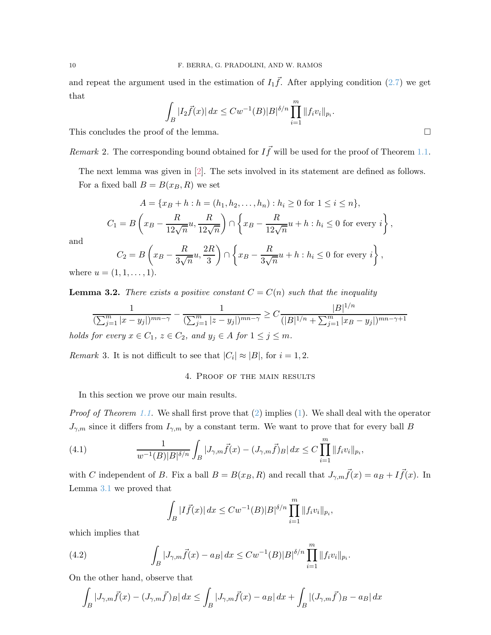and repeat the argument used in the estimation of  $I_1\vec{f}$ . After applying condition [\(2.7\)](#page-5-3) we get that

$$
\int_{B} |I_2 \vec{f}(x)| dx \leq C w^{-1}(B) |B|^{\delta/n} \prod_{i=1}^{m} ||f_i v_i||_{p_i}.
$$

This concludes the proof of the lemma.

*Remark* 2. The corresponding bound obtained for  $I\vec{f}$  will be used for the proof of Theorem [1.1.](#page-3-1)

The next lemma was given in [\[2\]](#page-18-11). The sets involved in its statement are defined as follows. For a fixed ball  $B = B(x_B, R)$  we set

$$
A = \{x_B + h : h = (h_1, h_2, \dots, h_n) : h_i \ge 0 \text{ for } 1 \le i \le n\},\
$$
  

$$
C_1 = B\left(x_B - \frac{R}{12\sqrt{n}}u, \frac{R}{12\sqrt{n}}\right) \cap \left\{x_B - \frac{R}{12\sqrt{n}}u + h : h_i \le 0 \text{ for every } i\right\},\
$$

and

$$
C_2 = B\left(x_B - \frac{R}{3\sqrt{n}}u, \frac{2R}{3}\right) \cap \left\{x_B - \frac{R}{3\sqrt{n}}u + h : h_i \le 0 \text{ for every } i\right\},\
$$

where  $u = (1, 1, \ldots, 1)$ .

<span id="page-9-2"></span>**Lemma 3.2.** *There exists a positive constant*  $C = C(n)$  *such that the inequality* 

$$
\frac{1}{(\sum_{j=1}^{m} |x - y_j|)^{mn-\gamma}} - \frac{1}{(\sum_{j=1}^{m} |z - y_j|)^{mn-\gamma}} \ge C \frac{|B|^{1/n}}{(|B|^{1/n} + \sum_{j=1}^{m} |x_B - y_j|)^{mn-\gamma+1}}
$$
  
for every  $x \in C_1$ ,  $z \in C_2$ , and  $y_i \in A$  for  $1 \le j \le m$ 

*holds for every*  $x \in C_1$ ,  $z \in C_2$ , and  $y_j \in A$  *for*  $1 \leq j \leq m$ .

<span id="page-9-3"></span>*Remark* 3. It is not difficult to see that  $|C_i| \approx |B|$ , for  $i = 1, 2$ .

## 4. Proof of the main results

In this section we prove our main results.

*Proof of Theorem [1.1.](#page-3-1)* We shall first prove that [\(2\)](#page-3-2) implies [\(1\)](#page-3-3). We shall deal with the operator  $J_{\gamma,m}$  since it differs from  $I_{\gamma,m}$  by a constant term. We want to prove that for every ball B

(4.1) 
$$
\frac{1}{w^{-1}(B)|B|^{\delta/n}} \int_B |J_{\gamma,m}\vec{f}(x) - (J_{\gamma,m}\vec{f})_B| dx \le C \prod_{i=1}^m \|f_i v_i\|_{p_i},
$$

with C independent of B. Fix a ball  $B = B(x_B, R)$  and recall that  $J_{\gamma,m}\vec{f}(x) = a_B + I\vec{f}(x)$ . In Lemma [3.1](#page-7-0) we proved that

<span id="page-9-1"></span><span id="page-9-0"></span>
$$
\int_B |I\vec{f}(x)| dx \leq C w^{-1}(B) |B|^{\delta/n} \prod_{i=1}^m \|f_i v_i\|_{p_i},
$$

which implies that

(4.2) 
$$
\int_B |J_{\gamma,m}\vec{f}(x) - a_B| dx \leq C w^{-1}(B) |B|^{\delta/n} \prod_{i=1}^m ||f_i v_i||_{p_i}.
$$

On the other hand, observe that

$$
\int_{B} |J_{\gamma,m}\vec{f}(x) - (J_{\gamma,m}\vec{f})B| dx \le \int_{B} |J_{\gamma,m}\vec{f}(x) - aB| dx + \int_{B} |(J_{\gamma,m}\vec{f})B| - aB| dx
$$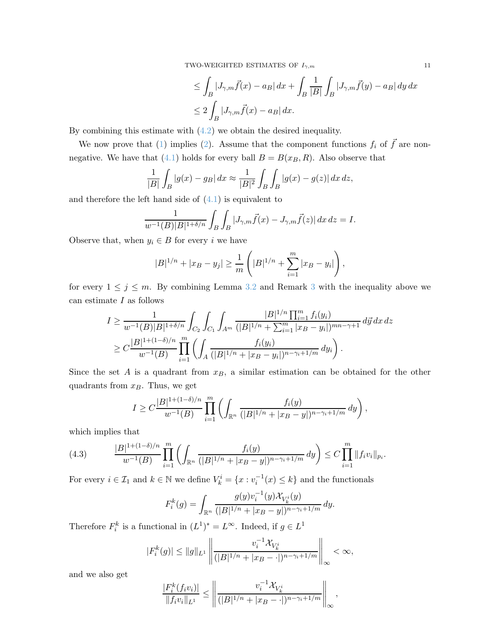TWO-WEIGHTED ESTIMATES OF  $I_{\gamma,m}$  11

$$
\leq \int_B |J_{\gamma,m}\vec{f}(x) - a_B| dx + \int_B \frac{1}{|B|} \int_B |J_{\gamma,m}\vec{f}(y) - a_B| dy dx
$$
  

$$
\leq 2 \int_B |J_{\gamma,m}\vec{f}(x) - a_B| dx.
$$

By combining this estimate with [\(4.2\)](#page-9-0) we obtain the desired inequality.

We now prove that [\(1\)](#page-3-3) implies [\(2\)](#page-3-2). Assume that the component functions  $f_i$  of  $\vec{f}$  are non-negative. We have that [\(4.1\)](#page-9-1) holds for every ball  $B = B(x_B, R)$ . Also observe that

$$
\frac{1}{|B|} \int_B |g(x) - g_B| \, dx \approx \frac{1}{|B|^2} \int_B \int_B |g(x) - g(z)| \, dx \, dz,
$$

and therefore the left hand side of  $(4.1)$  is equivalent to

$$
\frac{1}{w^{-1}(B)|B|^{1+\delta/n}}\int_B\int_B|J_{\gamma,m}\vec{f}(x)-J_{\gamma,m}\vec{f}(z)|\,dx\,dz=I.
$$

Observe that, when  $y_i \in B$  for every i we have

$$
|B|^{1/n} + |x_B - y_j| \ge \frac{1}{m} \left( |B|^{1/n} + \sum_{i=1}^m |x_B - y_i| \right),
$$

for every  $1 \leq j \leq m$ . By combining Lemma [3.2](#page-9-2) and Remark [3](#page-9-3) with the inequality above we can estimate  $I$  as follows

$$
I \geq \frac{1}{w^{-1}(B)|B|^{1+\delta/n}} \int_{C_2} \int_{C_1} \int_{A^m} \frac{|B|^{1/n} \prod_{i=1}^m f_i(y_i)}{(|B|^{1/n} + \sum_{i=1}^m |x_B - y_i|)^{mn-\gamma+1}} d\vec{y} dx dz
$$
  
 
$$
\geq C \frac{|B|^{1+(1-\delta)/n}}{w^{-1}(B)} \prod_{i=1}^m \left( \int_A \frac{f_i(y_i)}{(|B|^{1/n} + |x_B - y_i|)^{n-\gamma_i+1/m}} dy_i \right).
$$

Since the set A is a quadrant from  $x_B$ , a similar estimation can be obtained for the other quadrants from  $x_B$ . Thus, we get

$$
I \geq C \frac{|B|^{1+(1-\delta)/n}}{w^{-1}(B)} \prod_{i=1}^m \left( \int_{\mathbb{R}^n} \frac{f_i(y)}{(|B|^{1/n} + |x_B - y|)^{n-\gamma_i+1/m}} \, dy \right),
$$

which implies that

<span id="page-10-0"></span>(4.3) 
$$
\frac{|B|^{1+(1-\delta)/n}}{w^{-1}(B)}\prod_{i=1}^m\left(\int_{\mathbb{R}^n}\frac{f_i(y)}{(|B|^{1/n}+|x_B-y|)^{n-\gamma_i+1/m}}\,dy\right)\leq C\prod_{i=1}^m\|f_iv_i\|_{p_i}.
$$

For every  $i \in \mathcal{I}_1$  and  $k \in \mathbb{N}$  we define  $V_k^i = \{x : v_i^{-1}(x) \leq k\}$  and the functionals

$$
F_i^k(g) = \int_{\mathbb{R}^n} \frac{g(y)v_i^{-1}(y)\mathcal{X}_{V_k^i}(y)}{(|B|^{1/n} + |x_B - y|)^{n - \gamma_i + 1/m}} dy.
$$

Therefore  $F_i^k$  is a functional in  $(L^1)^* = L^{\infty}$ . Indeed, if  $g \in L^1$ 

$$
|F_i^k(g)| \le ||g||_{L^1} \left\| \frac{v_i^{-1} \mathcal{X}_{V_k^i}}{(|B|^{1/n} + |x_B - \cdot|)^{n - \gamma_i + 1/m}} \right\|_{\infty} < \infty,
$$

and we also get

$$
\frac{|F_i^k(f_iv_i)|}{\|f_iv_i\|_{L^1}} \le \left\| \frac{v_i^{-1} \mathcal{X}_{V_k^i}}{(|B|^{1/n} + |x_B - \cdot|)^{n - \gamma_i + 1/m}} \right\|_{\infty},
$$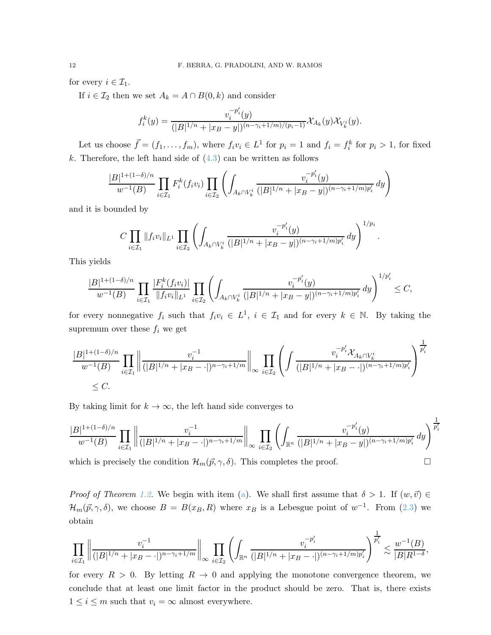for every  $i \in \mathcal{I}_1$ .

If  $i \in \mathcal{I}_2$  then we set  $A_k = A \cap B(0, k)$  and consider

$$
f_i^k(y) = \frac{v_i^{-p_i'}(y)}{(|B|^{1/n} + |x_B - y|)^{(n - \gamma_i + 1/m)/(p_i - 1)}} \mathcal{X}_{A_k}(y) \mathcal{X}_{V_k^i}(y).
$$

Let us choose  $\vec{f} = (f_1, \ldots, f_m)$ , where  $f_i v_i \in L^1$  for  $p_i = 1$  and  $f_i = f_i^k$  for  $p_i > 1$ , for fixed k. Therefore, the left hand side of  $(4.3)$  can be written as follows

$$
\frac{|B|^{1+(1-\delta)/n}}{w^{-1}(B)}\prod_{i\in\mathcal{I}_1}F_i^k(f_iv_i)\prod_{i\in\mathcal{I}_2}\left(\int_{A_k\cap V_k^i}\frac{v_i^{-p_i'}(y)}{(|B|^{1/n}+|x_B-y|)^{(n-\gamma_i+1/m)p_i'}}\,dy\right)
$$

and it is bounded by

$$
C \prod_{i \in \mathcal{I}_1} ||f_i v_i||_{L^1} \prod_{i \in \mathcal{I}_2} \left( \int_{A_k \cap V_k^i} \frac{v_i^{-p_i'}(y)}{(|B|^{1/n} + |x_B - y|)^{(n - \gamma_i + 1/m)p_i'}} dy \right)^{1/p_i}.
$$

This yields

$$
\frac{|B|^{1+(1-\delta)/n}}{w^{-1}(B)}\prod_{i\in\mathcal{I}_1}\frac{|F_i^k(f_iv_i)|}{\|f_iv_i\|_{L^1}}\prod_{i\in\mathcal{I}_2}\left(\int_{A_k\cap V_k^i}\frac{v_i^{-p_i'}(y)}{(|B|^{1/n}+|x_B-y|)^{(n-\gamma_i+1/m)p_i'}}\,dy\right)^{1/p_i'}\leq C,
$$

for every nonnegative  $f_i$  such that  $f_i v_i \in L^1$ ,  $i \in \mathcal{I}_1$  and for every  $k \in \mathbb{N}$ . By taking the supremum over these  $f_i$  we get

$$
\frac{|B|^{1+(1-\delta)/n}}{w^{-1}(B)}\prod_{i\in\mathcal{I}_1}\bigg\|\frac{v_i^{-1}}{(|B|^{1/n}+|x_B-\cdot|)^{n-\gamma_i+1/m}}\bigg\|_{\infty}\prod_{i\in\mathcal{I}_2}\left(\int\frac{v_i^{-p_i'}\mathcal{X}_{A_k\cap V_k^i}}{(|B|^{1/n}+|x_B-\cdot|)^{(n-\gamma_i+1/m)p_i'}}\right)^{\frac{1}{p_i'}}\leq C.
$$

By taking limit for  $k \to \infty$ , the left hand side converges to

$$
\frac{|B|^{1+(1-\delta)/n}}{w^{-1}(B)}\prod_{i\in\mathcal{I}_1}\left\|\frac{v_i^{-1}}{(|B|^{1/n}+|x_B-\cdot|)^{n-\gamma_i+1/m}}\right\|_{\infty}\prod_{i\in\mathcal{I}_2}\left(\int_{\mathbb{R}^n}\frac{v_i^{-p_i'}(y)}{(|B|^{1/n}+|x_B-y|)^{(n-\gamma_i+1/m)p_i'}}\,dy\right)^{\frac{1}{p_i'}}
$$

which is precisely the condition  $\mathcal{H}_m(\vec{p}, \gamma, \delta)$ . This completes the proof.

*Proof of Theorem [1.2.](#page-3-4)* We begin with item [\(a\)](#page-3-5). We shall first assume that  $\delta > 1$ . If  $(w, \vec{v}) \in$  $\mathcal{H}_m(\vec{p}, \gamma, \delta)$ , we choose  $B = B(x_B, R)$  where  $x_B$  is a Lebesgue point of  $w^{-1}$ . From [\(2.3\)](#page-4-1) we obtain

$$
\prod_{i\in \mathcal{I}_1}\left\|\frac{v_i^{-1}}{(|B|^{1/n}+|x_B-\cdot|)^{n-\gamma_i+1/m}}\right\|_{\infty}\prod_{i\in \mathcal{I}_2}\left(\int_{\mathbb{R}^n}\frac{v_i^{-p_i'}}{(|B|^{1/n}+|x_B-\cdot|)^{(n-\gamma_i+1/m)p_i'}}\right)^{\frac{1}{p_i'}}\lesssim \frac{w^{-1}(B)}{|B|R^{1-\delta}},
$$

for every  $R > 0$ . By letting  $R \to 0$  and applying the monotone convergence theorem, we conclude that at least one limit factor in the product should be zero. That is, there exists  $1 \leq i \leq m$  such that  $v_i = \infty$  almost everywhere.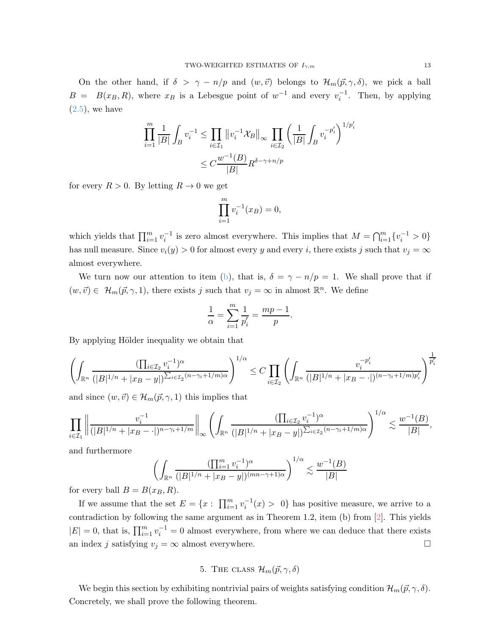On the other hand, if  $\delta > \gamma - n/p$  and  $(w, \vec{v})$  belongs to  $\mathcal{H}_m(\vec{p}, \gamma, \delta)$ , we pick a ball  $B = B(x_B, R)$ , where  $x_B$  is a Lebesgue point of  $w^{-1}$  and every  $v_i^{-1}$ . Then, by applying  $(2.5)$ , we have

$$
\prod_{i=1}^m \frac{1}{|B|} \int_B v_i^{-1} \le \prod_{i \in \mathcal{I}_1} \left\| v_i^{-1} \mathcal{X}_B \right\|_\infty \prod_{i \in \mathcal{I}_2} \left( \frac{1}{|B|} \int_B v_i^{-p_i'} \right)^{1/p_i'}
$$

$$
\le C \frac{w^{-1}(B)}{|B|} R^{\delta - \gamma + n/p}
$$

for every  $R > 0$ . By letting  $R \to 0$  we get

$$
\prod_{i=1}^{m} v_i^{-1}(x_B) = 0,
$$

which yields that  $\prod_{i=1}^m v_i^{-1}$  is zero almost everywhere. This implies that  $M = \bigcap_{i=1}^m \{v_i^{-1} > 0\}$ has null measure. Since  $v_i(y) > 0$  for almost every y and every i, there exists j such that  $v_j = \infty$ almost everywhere.

We turn now our attention to item [\(b\)](#page-3-6), that is,  $\delta = \gamma - n/p = 1$ . We shall prove that if  $(w, \vec{v}) \in \mathcal{H}_m(\vec{p}, \gamma, 1)$ , there exists j such that  $v_j = \infty$  in almost  $\mathbb{R}^n$ . We define

$$
\frac{1}{\alpha} = \sum_{i=1}^{m} \frac{1}{p'_i} = \frac{mp-1}{p}.
$$

By applying Hölder inequality we obtain that

$$
\left(\int_{\mathbb{R}^n} \frac{(\prod_{i \in \mathcal{I}_2} v_i^{-1})^{\alpha}}{(|B|^{1/n} + |x_B - y|)^{\sum_{i \in \mathcal{I}_2} (n - \gamma_i + 1/m)\alpha}}\right)^{1/\alpha} \le C \prod_{i \in \mathcal{I}_2} \left(\int_{\mathbb{R}^n} \frac{v_i^{-p_i'}}{(|B|^{1/n} + |x_B - .|)^{(n - \gamma_i + 1/m)p_i'}}\right)^{\frac{1}{p_i'}}
$$

and since  $(w, \vec{v}) \in \mathcal{H}_m(\vec{p}, \gamma, 1)$  this implies that

$$
\prod_{i\in\mathcal{I}_1}\left\|\frac{v_i^{-1}}{(|B|^{1/n}+|xB-\cdot|)^{n-\gamma_i+1/m}}\right\|_{\infty}\left(\int_{\mathbb{R}^n}\frac{(\prod_{i\in\mathcal{I}_2}v_i^{-1})^{\alpha}}{(|B|^{1/n}+|xB-y|)^{\sum_{i\in\mathcal{I}_2}(n-\gamma_i+1/m)\alpha}}\right)^{1/\alpha}\lesssim\frac{w^{-1}(B)}{|B|},
$$

and furthermore

$$
\left(\int_{\mathbb{R}^n} \frac{(\prod_{i=1}^m v_i^{-1})^{\alpha}}{(|B|^{1/n} + |x_B - y|)^{(mn-\gamma+1)\alpha}}\right)^{1/\alpha} \lesssim \frac{w^{-1}(B)}{|B|}
$$

for every ball  $B = B(x_B, R)$ .

If we assume that the set  $E = \{x : \prod_{i=1}^{m} v_i^{-1}(x) > 0\}$  has positive measure, we arrive to a contradiction by following the same argument as in Theorem 1.2, item (b) from [\[2\]](#page-18-11). This yields  $|E| = 0$ , that is,  $\prod_{i=1}^{m} v_i^{-1} = 0$  almost everywhere, from where we can deduce that there exists an index j satisfying  $v_j = \infty$  almost everywhere.

5. THE CLASS  $\mathcal{H}_m(\vec{p}, \gamma, \delta)$ 

<span id="page-12-0"></span>We begin this section by exhibiting nontrivial pairs of weights satisfying condition  $\mathcal{H}_m(\vec{p}, \gamma, \delta)$ . Concretely, we shall prove the following theorem.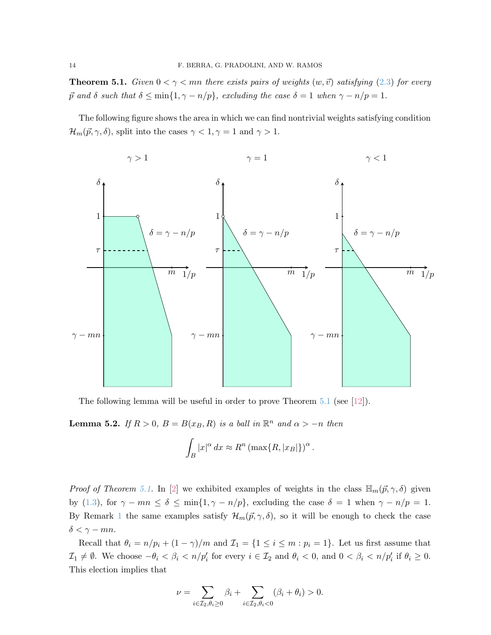<span id="page-13-0"></span>**Theorem 5.1.** *Given*  $0 < \gamma < mn$  *there exists pairs of weights*  $(w, \vec{v})$  *satisfying* [\(2.3\)](#page-4-1) *for every*  $\vec{p}$  *and*  $\delta$  *such that*  $\delta \le \min\{1, \gamma - n/p\}$ *, excluding the case*  $\delta = 1$  *when*  $\gamma - n/p = 1$ *.* 

The following figure shows the area in which we can find nontrivial weights satisfying condition  $\mathcal{H}_m(\vec{p}, \gamma, \delta)$ , split into the cases  $\gamma < 1, \gamma = 1$  and  $\gamma > 1$ .



The following lemma will be useful in order to prove Theorem [5.1](#page-13-0) (see [\[12\]](#page-18-2)).

<span id="page-13-1"></span>**Lemma 5.2.** *If*  $R > 0$ ,  $B = B(x_B, R)$  *is a ball in*  $\mathbb{R}^n$  *and*  $\alpha > -n$  *then* 

$$
\int_B |x|^\alpha \, dx \approx R^n \left( \max\{R, |x_B|\} \right)^\alpha
$$

.

*Proof of Theorem [5.1.](#page-13-0)* In [\[2\]](#page-18-11) we exhibited examples of weights in the class  $\mathbb{H}_m(p, \gamma, \delta)$  given by [\(1.3\)](#page-2-0), for  $\gamma - mn \le \delta \le \min\{1, \gamma - n/p\}$ , excluding the case  $\delta = 1$  when  $\gamma - n/p = 1$ . By Remark [1](#page-3-0) the same examples satisfy  $\mathcal{H}_m(\vec{p}, \gamma, \delta)$ , so it will be enough to check the case  $\delta < \gamma - mn$ .

Recall that  $\theta_i = n/p_i + (1 - \gamma)/m$  and  $\mathcal{I}_1 = \{1 \le i \le m : p_i = 1\}$ . Let us first assume that  $\mathcal{I}_1 \neq \emptyset$ . We choose  $-\theta_i < \beta_i < n/p'_i$  for every  $i \in \mathcal{I}_2$  and  $\theta_i < 0$ , and  $0 < \beta_i < n/p'_i$  if  $\theta_i \geq 0$ . This election implies that

$$
\nu = \sum_{i \in \mathcal{I}_2, \theta_i \ge 0} \beta_i + \sum_{i \in \mathcal{I}_2, \theta_i < 0} (\beta_i + \theta_i) > 0.
$$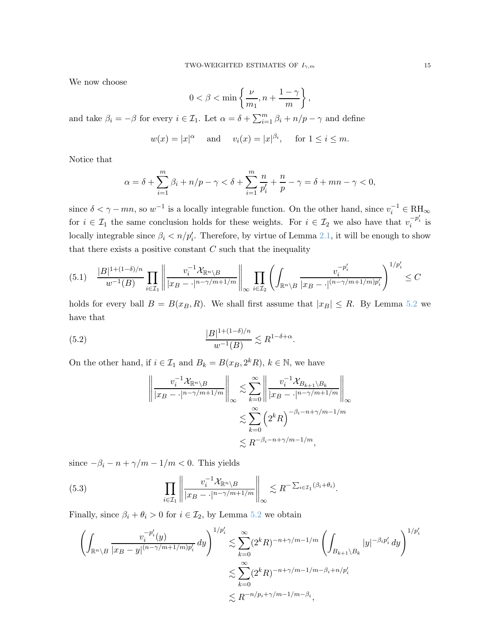We now choose

$$
0 < \beta < \min\left\{\frac{\nu}{m_1}, n + \frac{1-\gamma}{m}\right\},\
$$

and take  $\beta_i = -\beta$  for every  $i \in \mathcal{I}_1$ . Let  $\alpha = \delta + \sum_{i=1}^m \beta_i + n/p - \gamma$  and define

$$
w(x) = |x|^{\alpha}
$$
 and  $v_i(x) = |x|^{\beta_i}$ , for  $1 \le i \le m$ .

Notice that

$$
\alpha = \delta + \sum_{i=1}^{m} \beta_i + n/p - \gamma < \delta + \sum_{i=1}^{m} \frac{n}{p'_i} + \frac{n}{p} - \gamma = \delta + mn - \gamma < 0,
$$

since  $\delta < \gamma - mn$ , so  $w^{-1}$  is a locally integrable function. On the other hand, since  $v_i^{-1} \in \mathrm{RH}_{\infty}$ for  $i \in \mathcal{I}_1$  the same conclusion holds for these weights. For  $i \in \mathcal{I}_2$  we also have that  $v_i^{-p'_i}$  is locally integrable since  $\beta_i < n/p'_i$ . Therefore, by virtue of Lemma [2.1,](#page-5-1) it will be enough to show that there exists a positive constant  $C$  such that the inequality

<span id="page-14-2"></span>
$$
(5.1) \quad \frac{|B|^{1+(1-\delta)/n}}{w^{-1}(B)}\prod_{i\in\mathcal{I}_1}\left\|\frac{v_i^{-1}\mathcal{X}_{\mathbb{R}^n\backslash B}}{|x_B-\cdot|^{n-\gamma/m+1/m}}\right\|_{\infty}\prod_{i\in\mathcal{I}_2}\left(\int_{\mathbb{R}^n\backslash B}\frac{v_i^{-p_i'}}{|x_B-\cdot|^{(n-\gamma/m+1/m)p_i'}}\right)^{1/p_i'}\leq C
$$

holds for every ball  $B = B(x_B, R)$ . We shall first assume that  $|x_B| \le R$ . By Lemma [5.2](#page-13-1) we have that

(5.2) 
$$
\frac{|B|^{1+(1-\delta)/n}}{w^{-1}(B)} \lesssim R^{1-\delta+\alpha}.
$$

On the other hand, if  $i \in \mathcal{I}_1$  and  $B_k = B(x_B, 2^k R)$ ,  $k \in \mathbb{N}$ , we have

<span id="page-14-0"></span>
$$
\left\| \frac{v_i^{-1} \mathcal{X}_{\mathbb{R}^n \setminus B}}{|x_B - \cdot|^{n - \gamma/m + 1/m}} \right\|_{\infty} \lesssim \sum_{k=0}^{\infty} \left\| \frac{v_i^{-1} \mathcal{X}_{B_{k+1} \setminus B_k}}{|x_B - \cdot|^{n - \gamma/m + 1/m}} \right\|_{\infty}
$$
  

$$
\lesssim \sum_{k=0}^{\infty} \left( 2^k R \right)^{-\beta_i - n + \gamma/m - 1/m}
$$
  

$$
\lesssim R^{-\beta_i - n + \gamma/m - 1/m},
$$

since  $-\beta_i - n + \gamma/m - 1/m < 0$ . This yields

<span id="page-14-1"></span>(5.3) 
$$
\prod_{i \in \mathcal{I}_1} \left\| \frac{v_i^{-1} \mathcal{X}_{\mathbb{R}^n \setminus B}}{|x_B - \cdot|^{n - \gamma/m + 1/m}} \right\|_{\infty} \lesssim R^{-\sum_{i \in \mathcal{I}_1} (\beta_i + \theta_i)}.
$$

Finally, since  $\beta_i + \theta_i > 0$  for  $i \in \mathcal{I}_2$ , by Lemma [5.2](#page-13-1) we obtain

$$
\left(\int_{\mathbb{R}^n \backslash B} \frac{v_i^{-p_i'}(y)}{|x_B - y|^{(n - \gamma/m + 1/m)p_i'}} dy\right)^{1/p_i'} \lesssim \sum_{k=0}^{\infty} (2^k R)^{-n + \gamma/m - 1/m} \left(\int_{B_{k+1} \backslash B_k} |y|^{-\beta_i p_i'} dy\right)^{1/p_i'} \leq \sum_{k=0}^{\infty} (2^k R)^{-n + \gamma/m - 1/m - \beta_i + n/p_i'} \leq R^{-n/p_i + \gamma/m - 1/m - \beta_i},
$$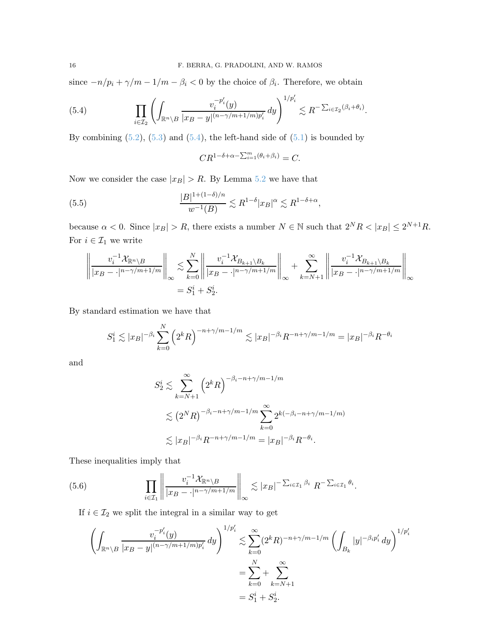since  $-n/p_i + \gamma/m - 1/m - \beta_i < 0$  by the choice of  $\beta_i$ . Therefore, we obtain

<span id="page-15-0"></span>(5.4) 
$$
\prod_{i\in\mathcal{I}_2}\left(\int_{\mathbb{R}^n\setminus B}\frac{v_i^{-p_i'}(y)}{|x_B-y|^{(n-\gamma/m+1/m)p_i'}}\,dy\right)^{1/p_i'}\lesssim R^{-\sum_{i\in\mathcal{I}_2}(\beta_i+\theta_i)}.
$$

By combining  $(5.2)$ ,  $(5.3)$  and  $(5.4)$ , the left-hand side of  $(5.1)$  is bounded by

<span id="page-15-1"></span>
$$
CR^{1-\delta+\alpha-\sum_{i=1}^m(\theta_i+\beta_i)}=C.
$$

Now we consider the case  $|x_B| > R$ . By Lemma [5.2](#page-13-1) we have that

(5.5) 
$$
\frac{|B|^{1+(1-\delta)/n}}{w^{-1}(B)} \lesssim R^{1-\delta}|x_B|^\alpha \lesssim R^{1-\delta+\alpha},
$$

because  $\alpha < 0$ . Since  $|x_B| > R$ , there exists a number  $N \in \mathbb{N}$  such that  $2^N R < |x_B| \le 2^{N+1} R$ . For  $i\in\mathcal{I}_1$  we write

$$
\left\| \frac{v_i^{-1} \mathcal{X}_{\mathbb{R}^n \setminus B}}{|x_B - \cdot|^{n - \gamma/m + 1/m}} \right\|_{\infty} \lesssim \sum_{k=0}^N \left\| \frac{v_i^{-1} \mathcal{X}_{B_{k+1} \setminus B_k}}{|x_B - \cdot|^{n - \gamma/m + 1/m}} \right\|_{\infty} + \sum_{k=N+1}^\infty \left\| \frac{v_i^{-1} \mathcal{X}_{B_{k+1} \setminus B_k}}{|x_B - \cdot|^{n - \gamma/m + 1/m}} \right\|_{\infty}
$$
  
=  $S_1^i + S_2^i$ .

By standard estimation we have that

$$
S_1^i \lesssim |x_B|^{-\beta_i} \sum_{k=0}^N \left(2^k R\right)^{-n+\gamma/m-1/m} \lesssim |x_B|^{-\beta_i} R^{-n+\gamma/m-1/m} = |x_B|^{-\beta_i} R^{-\theta_i}
$$

and

$$
S_2^i \le \sum_{k=N+1}^{\infty} \left( 2^k R \right)^{-\beta_i - n + \gamma/m - 1/m}
$$
  
 
$$
\le \left( 2^N R \right)^{-\beta_i - n + \gamma/m - 1/m} \sum_{k=0}^{\infty} 2^{k(-\beta_i - n + \gamma/m - 1/m)}
$$
  
 
$$
\le |x_B|^{-\beta_i} R^{-n + \gamma/m - 1/m} = |x_B|^{-\beta_i} R^{-\theta_i}.
$$

These inequalities imply that

(5.6) 
$$
\prod_{i \in \mathcal{I}_1} \left\| \frac{v_i^{-1} \mathcal{X}_{\mathbb{R}^n \setminus B}}{|x_B - \cdot|^{n - \gamma/m + 1/m}} \right\|_{\infty} \lesssim |x_B|^{-\sum_{i \in \mathcal{I}_1} \beta_i} R^{-\sum_{i \in \mathcal{I}_1} \theta_i}.
$$

If  $i\in\mathcal{I}_2$  we split the integral in a similar way to get

<span id="page-15-2"></span>
$$
\left(\int_{\mathbb{R}^n \backslash B} \frac{v_i^{-p_i'}(y)}{|x_B - y|^{(n - \gamma/m + 1/m)p_i'}} dy\right)^{1/p_i'} \lesssim \sum_{k=0}^{\infty} (2^k R)^{-n + \gamma/m - 1/m} \left(\int_{B_k} |y|^{-\beta_i p_i'} dy\right)^{1/p_i'}
$$

$$
= \sum_{k=0}^N + \sum_{k=N+1}^{\infty}
$$

$$
= S_1^i + S_2^i.
$$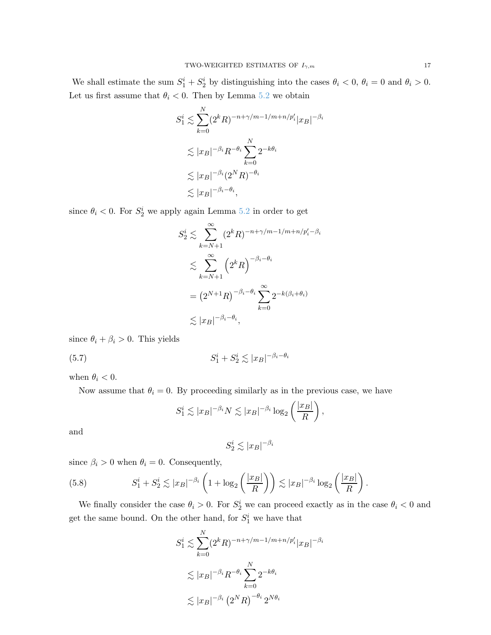We shall estimate the sum  $S_1^i + S_2^i$  by distinguishing into the cases  $\theta_i < 0$ ,  $\theta_i = 0$  and  $\theta_i > 0$ . Let us first assume that  $\theta_i < 0$ . Then by Lemma [5.2](#page-13-1) we obtain

$$
S_1^i \lesssim \sum_{k=0}^N (2^k R)^{-n + \gamma/m - 1/m + n/p_i'} |x_B|^{-\beta_i}
$$
  

$$
\lesssim |x_B|^{-\beta_i} R^{-\theta_i} \sum_{k=0}^N 2^{-k\theta_i}
$$
  

$$
\lesssim |x_B|^{-\beta_i} (2^N R)^{-\theta_i}
$$
  

$$
\lesssim |x_B|^{-\beta_i - \theta_i},
$$

since  $\theta_i < 0$ . For  $S_2^i$  we apply again Lemma [5.2](#page-13-1) in order to get

$$
S_2^i \lesssim \sum_{k=N+1}^{\infty} (2^k R)^{-n+\gamma/m-1/m+n/p'_i-\beta_i}
$$
  

$$
\lesssim \sum_{k=N+1}^{\infty} (2^k R)^{-\beta_i-\theta_i}
$$
  

$$
= (2^{N+1} R)^{-\beta_i-\theta_i} \sum_{k=0}^{\infty} 2^{-k(\beta_i+\theta_i)}
$$
  

$$
\lesssim |x_B|^{-\beta_i-\theta_i},
$$

since  $\theta_i + \beta_i > 0$ . This yields

 $(5.7)$  $j_1^i + S_2^i \lesssim |x_B|^{-\beta_i - \theta_i}$ 

when  $\theta_i < 0$ .

Now assume that  $\theta_i = 0$ . By proceeding similarly as in the previous case, we have

<span id="page-16-0"></span>
$$
S_1^i \lesssim |x_B|^{-\beta_i} N \lesssim |x_B|^{-\beta_i} \log_2 \left(\frac{|x_B|}{R}\right),
$$

and

$$
S_2^i \lesssim |x_B|^{-\beta_i}
$$

since  $\beta_i > 0$  when  $\theta_i = 0$ . Consequently,

<span id="page-16-1"></span>(5.8) 
$$
S_1^i + S_2^i \lesssim |x_B|^{-\beta_i} \left(1 + \log_2\left(\frac{|x_B|}{R}\right)\right) \lesssim |x_B|^{-\beta_i} \log_2\left(\frac{|x_B|}{R}\right).
$$

We finally consider the case  $\theta_i > 0$ . For  $S_2^i$  we can proceed exactly as in the case  $\theta_i < 0$  and get the same bound. On the other hand, for  $S_1^i$  we have that

$$
S_1^i \lesssim \sum_{k=0}^N (2^k R)^{-n + \gamma/m - 1/m + n/p_i'} |x_B|^{-\beta_i}
$$
  

$$
\lesssim |x_B|^{-\beta_i} R^{-\theta_i} \sum_{k=0}^N 2^{-k\theta_i}
$$
  

$$
\lesssim |x_B|^{-\beta_i} (2^N R)^{-\theta_i} 2^{N\theta_i}
$$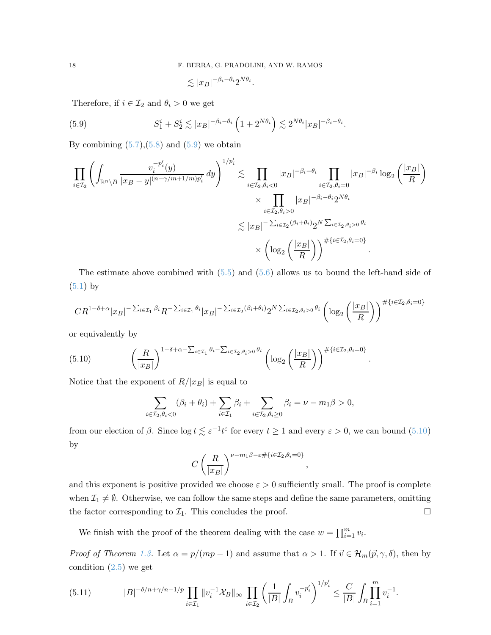<span id="page-17-0"></span>
$$
\lesssim |x_B|^{-\beta_i-\theta_i} 2^{N\theta_i}.
$$

Therefore, if  $i \in \mathcal{I}_2$  and  $\theta_i > 0$  we get

(5.9) 
$$
S_1^i + S_2^i \lesssim |x_B|^{-\beta_i - \theta_i} \left(1 + 2^{N\theta_i}\right) \lesssim 2^{N\theta_i} |x_B|^{-\beta_i - \theta_i}.
$$

By combining  $(5.7),(5.8)$  $(5.7),(5.8)$  and  $(5.9)$  we obtain

$$
\prod_{i \in \mathcal{I}_2} \left( \int_{\mathbb{R}^n \setminus B} \frac{v_i^{-p_i'}(y)}{|x_B - y|^{(n - \gamma/m + 1/m)p_i'}} dy \right)^{1/p_i'} \lesssim \prod_{i \in \mathcal{I}_2, \theta_i < 0} |x_B|^{-\beta_i - \theta_i} \prod_{i \in \mathcal{I}_2, \theta_i = 0} |x_B|^{-\beta_i} \log_2 \left( \frac{|x_B|}{R} \right) \times \prod_{i \in \mathcal{I}_2, \theta_i > 0} |x_B|^{-\beta_i - \theta_i} 2^{N\theta_i} \lesssim |x_B|^{-\sum_{i \in \mathcal{I}_2, \theta_i > 0} \theta_i} \lesssim |x_B|^{-\sum_{i \in \mathcal{I}_2, \theta_i > 0} \theta_i} \times \left( \log_2 \left( \frac{|x_B|}{R} \right) \right)^{\# \{ i \in \mathcal{I}_2, \theta_i = 0 \}}.
$$

The estimate above combined with  $(5.5)$  and  $(5.6)$  allows us to bound the left-hand side of  $(5.1)$  by

$$
CR^{1-\delta+\alpha}|x_B|^{-\sum_{i\in\mathcal{I}_1}\beta_i}R^{-\sum_{i\in\mathcal{I}_1}\theta_i}|x_B|^{-\sum_{i\in\mathcal{I}_2}(\beta_i+\theta_i)}2^{N\sum_{i\in\mathcal{I}_2,\theta_i>0}\theta_i}\left(\log_2\left(\frac{|x_B|}{R}\right)\right)^{\#\{i\in\mathcal{I}_2,\theta_i=0\}}
$$

or equivalently by

(5.10) 
$$
\left(\frac{R}{|x_B|}\right)^{1-\delta+\alpha-\sum_{i\in\mathcal{I}_1}\theta_i-\sum_{i\in\mathcal{I}_2,\theta_i>0}\theta_i}\left(\log_2\left(\frac{|x_B|}{R}\right)\right)^{\#\{i\in\mathcal{I}_2,\theta_i=0\}}
$$

Notice that the exponent of  $R/|x_B|$  is equal to

<span id="page-17-1"></span>
$$
\sum_{i\in\mathcal{I}_2,\theta_i<0}(\beta_i+\theta_i)+\sum_{i\in\mathcal{I}_1}\beta_i+\sum_{i\in\mathcal{I}_2,\theta_i\geq0}\beta_i=\nu-m_1\beta>0,
$$

.

from our election of  $\beta$ . Since  $\log t \lesssim \varepsilon^{-1} t^{\varepsilon}$  for every  $t \ge 1$  and every  $\varepsilon > 0$ , we can bound [\(5.10\)](#page-17-1) by

$$
C\left(\frac{R}{|x_B|}\right)^{\nu-m_1\beta-\varepsilon\#\{i\in\mathcal{I}_2,\theta_i=0\}},
$$

and this exponent is positive provided we choose  $\varepsilon > 0$  sufficiently small. The proof is complete when  $\mathcal{I}_1 \neq \emptyset$ . Otherwise, we can follow the same steps and define the same parameters, omitting the factor corresponding to  $\mathcal{I}_1$ . This concludes the proof.

We finish with the proof of the theorem dealing with the case  $w = \prod_{i=1}^{m} v_i$ .

*Proof of Theorem [1.3.](#page-3-7)* Let  $\alpha = p/(mp-1)$  and assume that  $\alpha > 1$ . If  $\vec{v} \in \mathcal{H}_m(\vec{p}, \gamma, \delta)$ , then by condition  $(2.5)$  we get

<span id="page-17-2"></span>
$$
(5.11) \t|B|^{-\delta/n+\gamma/n-1/p} \prod_{i\in\mathcal{I}_1} \|v_i^{-1}\mathcal{X}_B\|_{\infty} \prod_{i\in\mathcal{I}_2} \left(\frac{1}{|B|} \int_B v_i^{-p_i'}\right)^{1/p_i'} \leq \frac{C}{|B|} \int_B \prod_{i=1}^m v_i^{-1}.
$$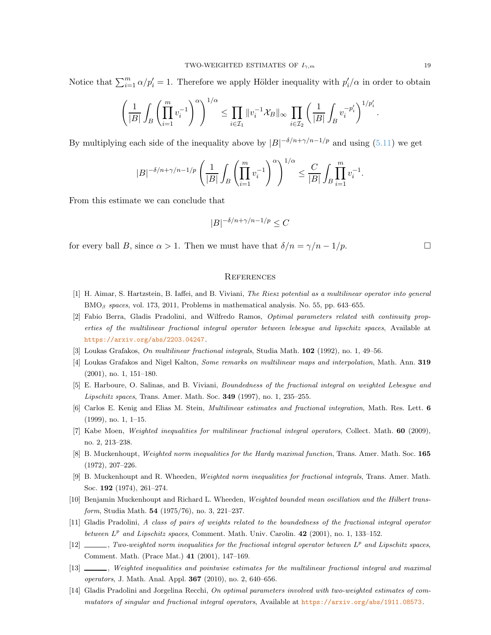Notice that  $\sum_{i=1}^{m} \alpha/p'_i = 1$ . Therefore we apply Hölder inequality with  $p'_i/\alpha$  in order to obtain

$$
\left(\frac{1}{|B|}\int_B\left(\prod_{i=1}^m v_i^{-1}\right)^\alpha\right)^{1/\alpha}\leq \prod_{i\in\mathcal{I}_1}\|v_i^{-1}\mathcal{X}_B\|_\infty\prod_{i\in\mathcal{I}_2}\left(\frac{1}{|B|}\int_B v_i^{-p_i'}\right)^{1/p_i'}.
$$

By multiplying each side of the inequality above by  $|B|^{-\delta/n+\gamma/n-1/p}$  and using [\(5.11\)](#page-17-2) we get

$$
|B|^{-\delta/n+\gamma/n-1/p}\left(\frac{1}{|B|}\int_B\left(\prod_{i=1}^m v_i^{-1}\right)^\alpha\right)^{1/\alpha}\leq \frac{C}{|B|}\int_B\prod_{i=1}^m v_i^{-1}.
$$

From this estimate we can conclude that

$$
|B|^{-\delta/n+\gamma/n-1/p} \le C
$$

for every ball B, since  $\alpha > 1$ . Then we must have that  $\delta/n = \gamma/n - 1/p$ .

#### **REFERENCES**

- <span id="page-18-11"></span><span id="page-18-6"></span>[1] H. Aimar, S. Hartzstein, B. Iaffei, and B. Viviani, The Riesz potential as a multilinear operator into general  $BMO_{\beta}$  spaces, vol. 173, 2011, Problems in mathematical analysis. No. 55, pp. 643–655.
- [2] Fabio Berra, Gladis Pradolini, and Wilfredo Ramos, Optimal parameters related with continuity properties of the multilinear fractional integral operator between lebesgue and lipschitz spaces, Available at <https://arxiv.org/abs/2203.04247>.
- <span id="page-18-8"></span><span id="page-18-7"></span>[3] Loukas Grafakos, On multilinear fractional integrals, Studia Math. 102 (1992), no. 1, 49–56.
- <span id="page-18-3"></span>[4] Loukas Grafakos and Nigel Kalton, Some remarks on multilinear maps and interpolation, Math. Ann. 319 (2001), no. 1, 151–180.
- <span id="page-18-9"></span>[5] E. Harboure, O. Salinas, and B. Viviani, Boundedness of the fractional integral on weighted Lebesgue and Lipschitz spaces, Trans. Amer. Math. Soc.  $349$  (1997), no. 1, 235–255.
- <span id="page-18-5"></span>[6] Carlos E. Kenig and Elias M. Stein, Multilinear estimates and fractional integration, Math. Res. Lett. 6 (1999), no. 1, 1–15.
- <span id="page-18-0"></span>[7] Kabe Moen, Weighted inequalities for multilinear fractional integral operators, Collect. Math. 60 (2009), no. 2, 213–238.
- <span id="page-18-1"></span>[8] B. Muckenhoupt, Weighted norm inequalities for the Hardy maximal function, Trans. Amer. Math. Soc. 165 (1972), 207–226.
- <span id="page-18-12"></span>[9] B. Muckenhoupt and R. Wheeden, Weighted norm inequalities for fractional integrals, Trans. Amer. Math. Soc. 192 (1974), 261–274.
- <span id="page-18-4"></span>[10] Benjamin Muckenhoupt and Richard L. Wheeden, Weighted bounded mean oscillation and the Hilbert transform, Studia Math. 54 (1975/76), no. 3, 221–237.
- <span id="page-18-2"></span>[11] Gladis Pradolini, A class of pairs of weights related to the boundedness of the fractional integral operator between  $L^p$  and Lipschitz spaces, Comment. Math. Univ. Carolin. 42 (2001), no. 1, 133-152.
- <span id="page-18-10"></span> $[12]$  , Two-weighted norm inequalities for the fractional integral operator between  $L^p$  and Lipschitz spaces, Comment. Math. (Prace Mat.) 41 (2001), 147–169.
- <span id="page-18-13"></span>[13]  $\qquad \qquad$ , Weighted inequalities and pointwise estimates for the multilinear fractional integral and maximal operators, J. Math. Anal. Appl. 367 (2010), no. 2, 640–656.
- [14] Gladis Pradolini and Jorgelina Recchi, On optimal parameters involved with two-weighted estimates of commutators of singular and fractional integral operators, Available at <https://arxiv.org/abs/1911.08573>.